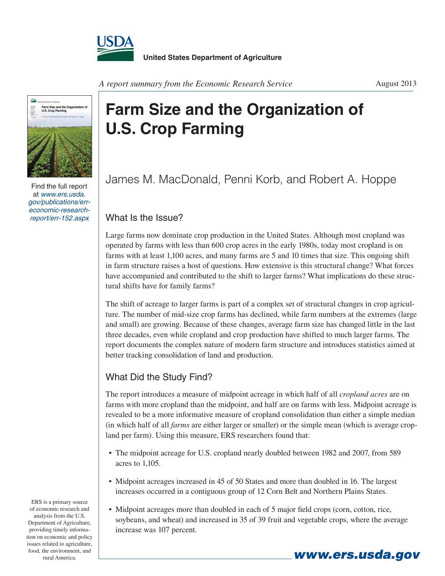



Find the full report at *www.ers.usda. gov/publications/erreconomic-researchreport/err-152.aspx*

## **Farm Size and the Organization of U.S. Crop Farming**

James M. MacDonald, Penni Korb, and Robert A. Hoppe

## What Is the Issue?

Large farms now dominate crop production in the United States. Although most cropland was operated by farms with less than 600 crop acres in the early 1980s, today most cropland is on farms with at least 1,100 acres, and many farms are 5 and 10 times that size. This ongoing shift in farm structure raises a host of questions. How extensive is this structural change? What forces have accompanied and contributed to the shift to larger farms? What implications do these structural shifts have for family farms?

The shift of acreage to larger farms is part of a complex set of structural changes in crop agriculture. The number of mid-size crop farms has declined, while farm numbers at the extremes (large and small) are growing. Because of these changes, average farm size has changed little in the last three decades, even while cropland and crop production have shifted to much larger farms. The report documents the complex nature of modern farm structure and introduces statistics aimed at better tracking consolidation of land and production.

## What Did the Study Find?

The report introduces a measure of midpoint acreage in which half of all *cropland acres* are on farms with more cropland than the midpoint, and half are on farms with less. Midpoint acreage is revealed to be a more informative measure of cropland consolidation than either a simple median (in which half of all *farms* are either larger or smaller) or the simple mean (which is average cropland per farm). Using this measure, ERS researchers found that:

- The midpoint acreage for U.S. cropland nearly doubled between 1982 and 2007, from 589 acres to 1,105.
- Midpoint acreages increased in 45 of 50 States and more than doubled in 16. The largest increases occurred in a contiguous group of 12 Corn Belt and Northern Plains States.
- Midpoint acreages more than doubled in each of 5 major field crops (corn, cotton, rice, soybeans, and wheat) and increased in 35 of 39 fruit and vegetable crops, where the average increase was 107 percent.

*www.ers.usda.gov*

ERS is a primary source of economic research and analysis from the U.S. Department of Agriculture, providing timely information on economic and policy issues related to agriculture, food, the environment, and rural America.